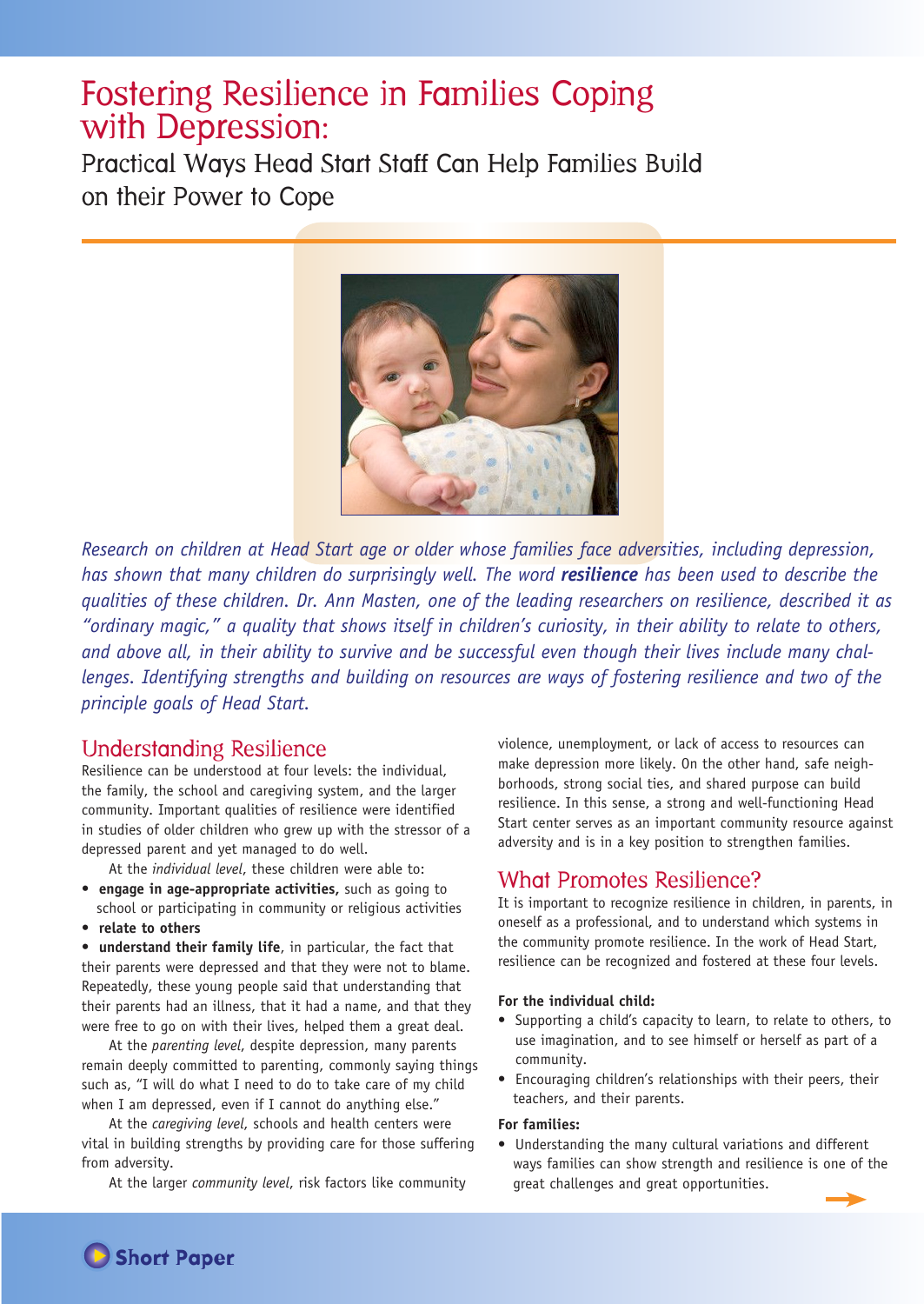# Fostering Resilience in Families Coping with Depression:

Practical Ways Head Start Staff Can Help Families Build on their Power to Cope



*Research on children at Head Start age or older whose families face adversities, including depression, has shown that many children do surprisingly well. The word resilience has been used to describe the qualities of these children. Dr. Ann Masten, one of the leading researchers on resilience, described it as "ordinary magic," a quality that shows itself in children's curiosity, in their ability to relate to others, and above all, in their ability to survive and be successful even though their lives include many challenges. Identifying strengths and building on resources are ways of fostering resilience and two of the principle goals of Head Start.* 

### Understanding Resilience

Resilience can be understood at four levels: the individual, the family, the school and caregiving system, and the larger community. Important qualities of resilience were identified in studies of older children who grew up with the stressor of a depressed parent and yet managed to do well.

At the *individual level*, these children were able to:

- **engage in age-appropriate activities,** such as going to school or participating in community or religious activities
- **relate to others**

**• understand their family life**, in particular, the fact that their parents were depressed and that they were not to blame. Repeatedly, these young people said that understanding that their parents had an illness, that it had a name, and that they were free to go on with their lives, helped them a great deal.

At the *parenting level*, despite depression, many parents remain deeply committed to parenting, commonly saying things such as, "I will do what I need to do to take care of my child when I am depressed, even if I cannot do anything else."

At the *caregiving level*, schools and health centers were vital in building strengths by providing care for those suffering from adversity.

At the larger *community level*, risk factors like community

violence, unemployment, or lack of access to resources can make depression more likely. On the other hand, safe neighborhoods, strong social ties, and shared purpose can build resilience. In this sense, a strong and well-functioning Head Start center serves as an important community resource against adversity and is in a key position to strengthen families.

## What Promotes Resilience?

It is important to recognize resilience in children, in parents, in oneself as a professional, and to understand which systems in the community promote resilience. In the work of Head Start, resilience can be recognized and fostered at these four levels.

### **For the individual child:**

- Supporting a child's capacity to learn, to relate to others, to use imagination, and to see himself or herself as part of a community.
- Encouraging children's relationships with their peers, their teachers, and their parents.

### **For families:**

**•** Understanding the many cultural variations and different ways families can show strength and resilience is one of the great challenges and great opportunities.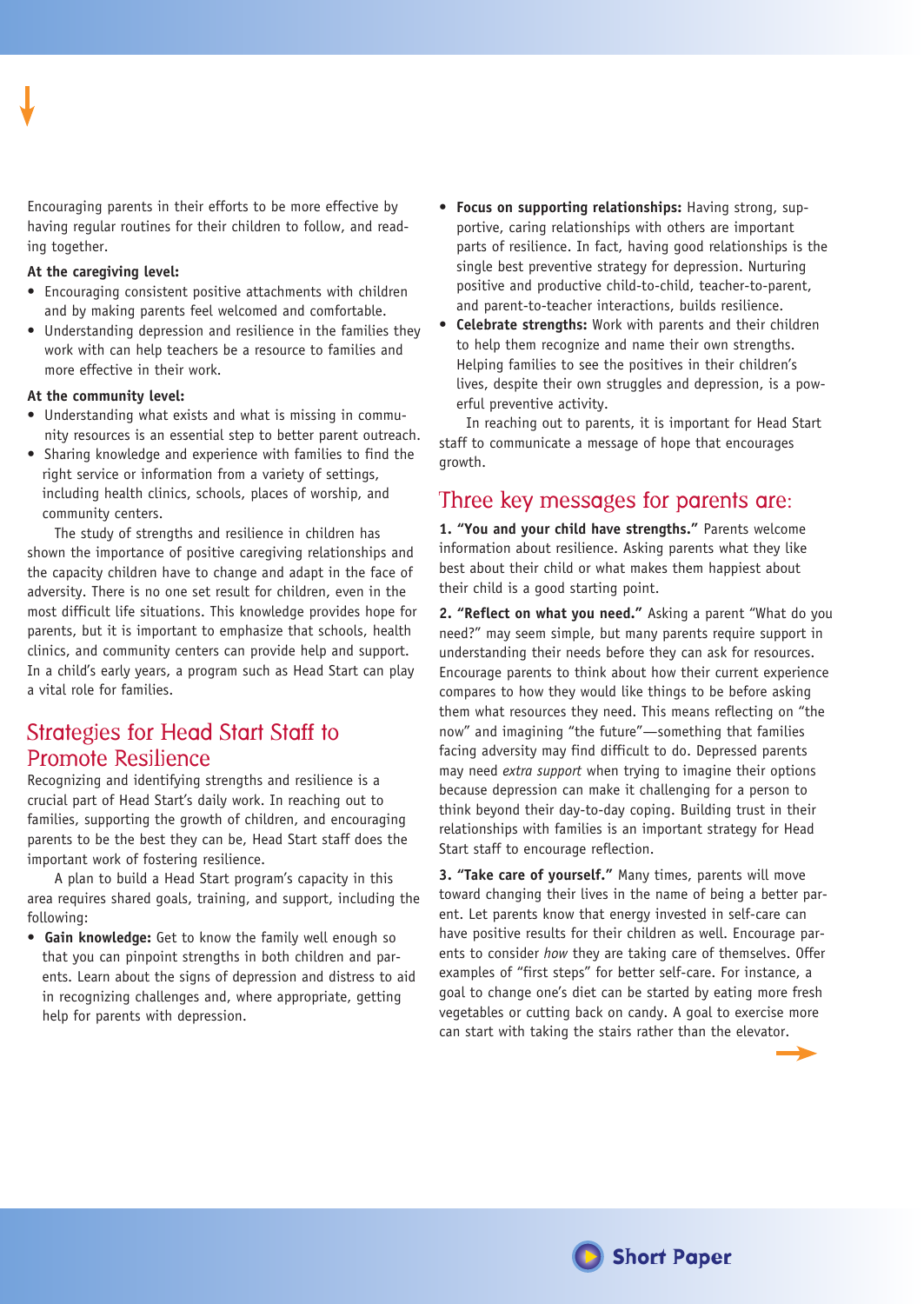Encouraging parents in their efforts to be more effective by having regular routines for their children to follow, and reading together.

#### **At the caregiving level:**

- Encouraging consistent positive attachments with children and by making parents feel welcomed and comfortable.
- Understanding depression and resilience in the families they work with can help teachers be a resource to families and more effective in their work.

#### **At the community level:**

- Understanding what exists and what is missing in community resources is an essential step to better parent outreach.
- Sharing knowledge and experience with families to find the right service or information from a variety of settings, including health clinics, schools, places of worship, and community centers.

The study of strengths and resilience in children has shown the importance of positive caregiving relationships and the capacity children have to change and adapt in the face of adversity. There is no one set result for children, even in the most difficult life situations. This knowledge provides hope for parents, but it is important to emphasize that schools, health clinics, and community centers can provide help and support. In a child's early years, a program such as Head Start can play a vital role for families.

# Strategies for Head Start Staff to Promote Resilience

Recognizing and identifying strengths and resilience is a crucial part of Head Start's daily work. In reaching out to families, supporting the growth of children, and encouraging parents to be the best they can be, Head Start staff does the important work of fostering resilience.

A plan to build a Head Start program's capacity in this area requires shared goals, training, and support, including the following:

**• Gain knowledge:** Get to know the family well enough so that you can pinpoint strengths in both children and parents. Learn about the signs of depression and distress to aid in recognizing challenges and, where appropriate, getting help for parents with depression.

- **Focus on supporting relationships:** Having strong, supportive, caring relationships with others are important parts of resilience. In fact, having good relationships is the single best preventive strategy for depression. Nurturing positive and productive child-to-child, teacher-to-parent, and parent-to-teacher interactions, builds resilience.
- **Celebrate strengths:** Work with parents and their children to help them recognize and name their own strengths. Helping families to see the positives in their children's lives, despite their own struggles and depression, is a powerful preventive activity.

In reaching out to parents, it is important for Head Start staff to communicate a message of hope that encourages growth.

### Three key messages for parents are:

**1. "You and your child have strengths."** Parents welcome information about resilience. Asking parents what they like best about their child or what makes them happiest about their child is a good starting point.

**2. "Reflect on what you need."** Asking a parent "What do you need?" may seem simple, but many parents require support in understanding their needs before they can ask for resources. Encourage parents to think about how their current experience compares to how they would like things to be before asking them what resources they need. This means reflecting on "the now" and imagining "the future"—something that families facing adversity may find difficult to do. Depressed parents may need *extra support* when trying to imagine their options because depression can make it challenging for a person to think beyond their day-to-day coping. Building trust in their relationships with families is an important strategy for Head Start staff to encourage reflection.

**3. "Take care of yourself."** Many times, parents will move toward changing their lives in the name of being a better parent. Let parents know that energy invested in self-care can have positive results for their children as well. Encourage parents to consider *how* they are taking care of themselves. Offer examples of "first steps" for better self-care. For instance, a goal to change one's diet can be started by eating more fresh vegetables or cutting back on candy. A goal to exercise more can start with taking the stairs rather than the elevator.